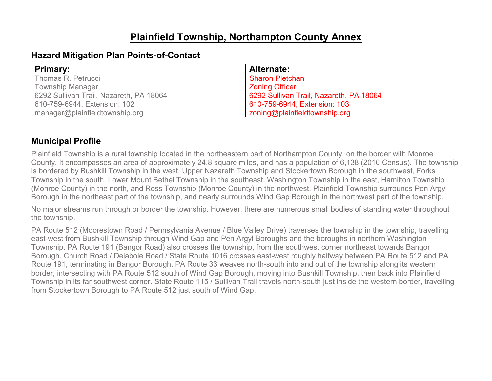### **Plainfield Township, Northampton County Annex**

### **Hazard Mitigation Plan Points-of-Contact**

Thomas R. Petrucci Township Manager 6292 Sullivan Trail, Nazareth, PA 18064 610-759-6944, Extension: 102 manager@plainfieldtownship.org

#### **Primary: Alternate:**

Sharon Pletchan Zoning Officer 6292 Sullivan Trail, Nazareth, PA 18064 610-759-6944, Extension: 103 zoning@plainfieldtownship.org

### **Municipal Profile**

Plainfield Township is a rural township located in the northeastern part of Northampton County, on the border with Monroe County. It encompasses an area of approximately 24.8 square miles, and has a population of 6,138 (2010 Census). The township is bordered by Bushkill Township in the west, Upper Nazareth Township and Stockertown Borough in the southwest, Forks Township in the south, Lower Mount Bethel Township in the southeast, Washington Township in the east, Hamilton Township (Monroe County) in the north, and Ross Township (Monroe County) in the northwest. Plainfield Township surrounds Pen Argyl Borough in the northeast part of the township, and nearly surrounds Wind Gap Borough in the northwest part of the township.

No major streams run through or border the township. However, there are numerous small bodies of standing water throughout the township.

PA Route 512 (Moorestown Road / Pennsylvania Avenue / Blue Valley Drive) traverses the township in the township, travelling east-west from Bushkill Township through Wind Gap and Pen Argyl Boroughs and the boroughs in northern Washington Township. PA Route 191 (Bangor Road) also crosses the township, from the southwest corner northeast towards Bangor Borough. Church Road / Delabole Road / State Route 1016 crosses east-west roughly halfway between PA Route 512 and PA Route 191, terminating in Bangor Borough. PA Route 33 weaves north-south into and out of the township along its western border, intersecting with PA Route 512 south of Wind Gap Borough, moving into Bushkill Township, then back into Plainfield Township in its far southwest corner. State Route 115 / Sullivan Trail travels north-south just inside the western border, travelling from Stockertown Borough to PA Route 512 just south of Wind Gap.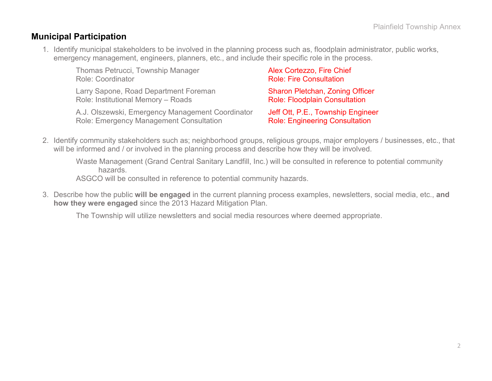### **Municipal Participation**

1. Identify municipal stakeholders to be involved in the planning process such as, floodplain administrator, public works, emergency management, engineers, planners, etc., and include their specific role in the process.

| Thomas Petrucci, Township Manager                | Alex Cortezzo, Fire Chief              |
|--------------------------------------------------|----------------------------------------|
| <b>Role: Coordinator</b>                         | <b>Role: Fire Consultation</b>         |
| Larry Sapone, Road Department Foreman            | <b>Sharon Pletchan, Zoning Officer</b> |
| Role: Institutional Memory - Roads               | <b>Role: Floodplain Consultation</b>   |
| A.J. Olszewski, Emergency Management Coordinator | Jeff Ott, P.E., Township Engineer      |
| Role: Emergency Management Consultation          | <b>Role: Engineering Consultation</b>  |

2. Identify community stakeholders such as; neighborhood groups, religious groups, major employers / businesses, etc., that will be informed and / or involved in the planning process and describe how they will be involved.

Waste Management (Grand Central Sanitary Landfill, Inc.) will be consulted in reference to potential community hazards.

ASGCO will be consulted in reference to potential community hazards.

3. Describe how the public **will be engaged** in the current planning process examples, newsletters, social media, etc., **and how they were engaged** since the 2013 Hazard Mitigation Plan.

The Township will utilize newsletters and social media resources where deemed appropriate.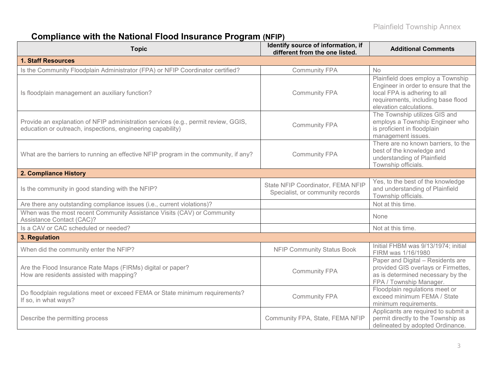# **Compliance with the National Flood Insurance Program (NFIP)**

| <b>Topic</b>                                                                                                                                      | Identify source of information, if<br>different from the one listed.  | <b>Additional Comments</b>                                                                                                                                                 |
|---------------------------------------------------------------------------------------------------------------------------------------------------|-----------------------------------------------------------------------|----------------------------------------------------------------------------------------------------------------------------------------------------------------------------|
| <b>1. Staff Resources</b>                                                                                                                         |                                                                       |                                                                                                                                                                            |
| Is the Community Floodplain Administrator (FPA) or NFIP Coordinator certified?                                                                    | <b>Community FPA</b>                                                  | <b>No</b>                                                                                                                                                                  |
| Is floodplain management an auxiliary function?                                                                                                   | <b>Community FPA</b>                                                  | Plainfield does employ a Township<br>Engineer in order to ensure that the<br>local FPA is adhering to all<br>requirements, including base flood<br>elevation calculations. |
| Provide an explanation of NFIP administration services (e.g., permit review, GGIS,<br>education or outreach, inspections, engineering capability) | <b>Community FPA</b>                                                  | The Township utilizes GIS and<br>employs a Township Engineer who<br>is proficient in floodplain<br>management issues.                                                      |
| What are the barriers to running an effective NFIP program in the community, if any?                                                              | <b>Community FPA</b>                                                  | There are no known barriers, to the<br>best of the knowledge and<br>understanding of Plainfield<br>Township officials.                                                     |
| 2. Compliance History                                                                                                                             |                                                                       |                                                                                                                                                                            |
| Is the community in good standing with the NFIP?                                                                                                  | State NFIP Coordinator, FEMA NFIP<br>Specialist, or community records | Yes, to the best of the knowledge<br>and understanding of Plainfield<br>Township officials.                                                                                |
| Are there any outstanding compliance issues (i.e., current violations)?                                                                           |                                                                       | Not at this time.                                                                                                                                                          |
| When was the most recent Community Assistance Visits (CAV) or Community<br>Assistance Contact (CAC)?                                              |                                                                       | None                                                                                                                                                                       |
| Is a CAV or CAC scheduled or needed?                                                                                                              |                                                                       | Not at this time.                                                                                                                                                          |
| 3. Regulation                                                                                                                                     |                                                                       |                                                                                                                                                                            |
| When did the community enter the NFIP?                                                                                                            | <b>NFIP Community Status Book</b>                                     | Initial FHBM was 9/13/1974; initial<br>FIRM was 1/16/1980                                                                                                                  |
| Are the Flood Insurance Rate Maps (FIRMs) digital or paper?<br>How are residents assisted with mapping?                                           | <b>Community FPA</b>                                                  | Paper and Digital - Residents are<br>provided GIS overlays or Firmettes,<br>as is determined necessary by the<br>FPA / Township Manager.                                   |
| Do floodplain regulations meet or exceed FEMA or State minimum requirements?<br>If so, in what ways?                                              | <b>Community FPA</b>                                                  | Floodplain regulations meet or<br>exceed minimum FEMA / State<br>minimum requirements.                                                                                     |
| Describe the permitting process                                                                                                                   | Community FPA, State, FEMA NFIP                                       | Applicants are required to submit a<br>permit directly to the Township as<br>delineated by adopted Ordinance.                                                              |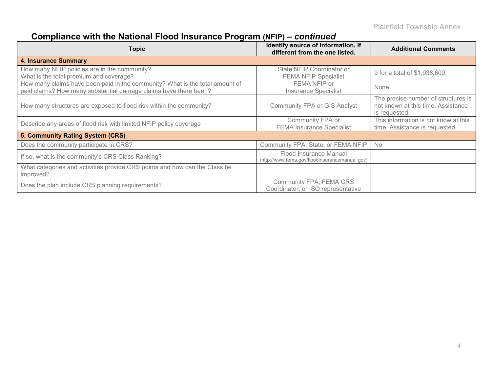# **Compliance with the National Flood Insurance Program (NFIP) –** *continued*

| <b>Topic</b>                                                                                                                                     | Identify source of information, if<br>different from the one listed.     | <b>Additional Comments</b>                                                                 |
|--------------------------------------------------------------------------------------------------------------------------------------------------|--------------------------------------------------------------------------|--------------------------------------------------------------------------------------------|
| 4. Insurance Summary                                                                                                                             |                                                                          |                                                                                            |
| How many NFIP policies are in the community?<br>What is the total premium and coverage?                                                          | State NFIP Coordinator or<br><b>FEMA NFIP Specialist</b>                 | 9 for a total of \$1,938,600.                                                              |
| How many claims have been paid in the community? What is the total amount of<br>paid claims? How many substantial damage claims have there been? | FEMA NFIP or<br><b>Insurance Specialist</b>                              | None                                                                                       |
| How many structures are exposed to flood risk within the community?                                                                              | <b>Community FPA or GIS Analyst</b>                                      | The precise number of structures is<br>not known at this time. Assistance<br>is requested. |
| Describe any areas of flood risk with limited NFIP policy coverage                                                                               | Community FPA or<br><b>FEMA Insurance Specialist</b>                     | This information is not know at this<br>time. Assistance is requested.                     |
| 5. Community Rating System (CRS)                                                                                                                 |                                                                          |                                                                                            |
| Does the community participate in CRS?                                                                                                           | Community FPA, State, or FEMA NFIP                                       | No                                                                                         |
| If so, what is the community's CRS Class Ranking?                                                                                                | Flood Insurance Manual<br>(http://www.fema.gov/floodinsurancemanual.gov) |                                                                                            |
| What categories and activities provide CRS points and how can the Class be<br>improved?                                                          |                                                                          |                                                                                            |
| Does the plan include CRS planning requirements?                                                                                                 | Community FPA, FEMA CRS<br>Coordinator, or ISO representative            |                                                                                            |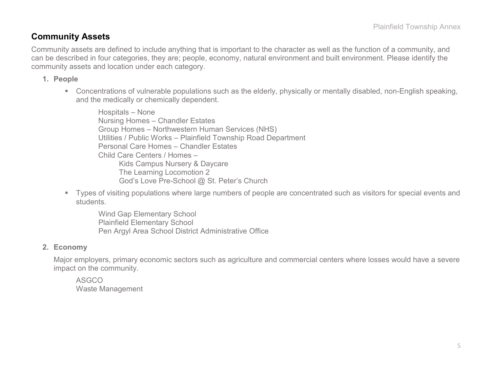### **Community Assets**

Community assets are defined to include anything that is important to the character as well as the function of a community, and can be described in four categories, they are; people, economy, natural environment and built environment. Please identify the community assets and location under each category.

#### **1. People**

 Concentrations of vulnerable populations such as the elderly, physically or mentally disabled, non-English speaking, and the medically or chemically dependent.

Hospitals – None Nursing Homes – Chandler Estates Group Homes – Northwestern Human Services (NHS) Utilities / Public Works – Plainfield Township Road Department Personal Care Homes – Chandler Estates Child Care Centers / Homes – Kids Campus Nursery & Daycare The Learning Locomotion 2 God's Love Pre-School @ St. Peter's Church

 Types of visiting populations where large numbers of people are concentrated such as visitors for special events and students.

Wind Gap Elementary School Plainfield Elementary School Pen Argyl Area School District Administrative Office

#### **2. Economy**

Major employers, primary economic sectors such as agriculture and commercial centers where losses would have a severe impact on the community.

ASGCO Waste Management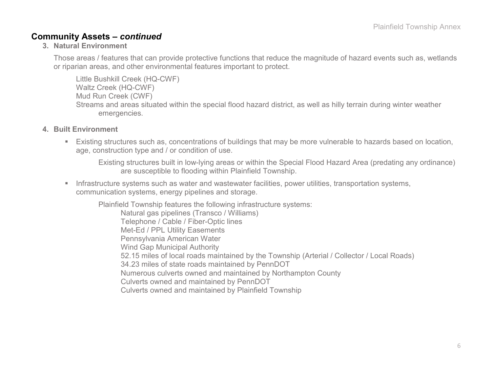#### **Community Assets –** *continued*

#### **3. Natural Environment**

Those areas / features that can provide protective functions that reduce the magnitude of hazard events such as, wetlands or riparian areas, and other environmental features important to protect.

Little Bushkill Creek (HQ-CWF) Waltz Creek (HQ-CWF) Mud Run Creek (CWF) Streams and areas situated within the special flood hazard district, as well as hilly terrain during winter weather emergencies.

- **4. Built Environment**
	- Existing structures such as, concentrations of buildings that may be more vulnerable to hazards based on location, age, construction type and / or condition of use.

Existing structures built in low-lying areas or within the Special Flood Hazard Area (predating any ordinance) are susceptible to flooding within Plainfield Township.

**Infrastructure systems such as water and wastewater facilities, power utilities, transportation systems,** communication systems, energy pipelines and storage.

Plainfield Township features the following infrastructure systems:

Natural gas pipelines (Transco / Williams) Telephone / Cable / Fiber-Optic lines Met-Ed / PPL Utility Easements Pennsylvania American Water Wind Gap Municipal Authority 52.15 miles of local roads maintained by the Township (Arterial / Collector / Local Roads) 34.23 miles of state roads maintained by PennDOT Numerous culverts owned and maintained by Northampton County Culverts owned and maintained by PennDOT Culverts owned and maintained by Plainfield Township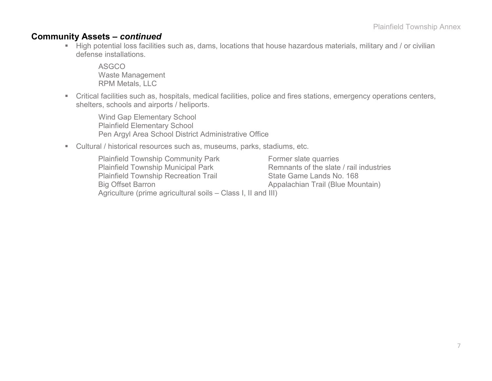#### **Community Assets –** *continued*

High potential loss facilities such as, dams, locations that house hazardous materials, military and / or civilian defense installations.

ASGCO Waste Management RPM Metals, LLC

 Critical facilities such as, hospitals, medical facilities, police and fires stations, emergency operations centers, shelters, schools and airports / heliports.

Wind Gap Elementary School Plainfield Elementary School Pen Argyl Area School District Administrative Office

Cultural / historical resources such as, museums, parks, stadiums, etc.

| <b>Plainfield Township Community Park</b>                    | Former slate quarries                   |
|--------------------------------------------------------------|-----------------------------------------|
| <b>Plainfield Township Municipal Park</b>                    | Remnants of the slate / rail industries |
| <b>Plainfield Township Recreation Trail</b>                  | State Game Lands No. 168                |
| <b>Big Offset Barron</b>                                     | Appalachian Trail (Blue Mountain)       |
| Agriculture (prime agricultural soils – Class I, II and III) |                                         |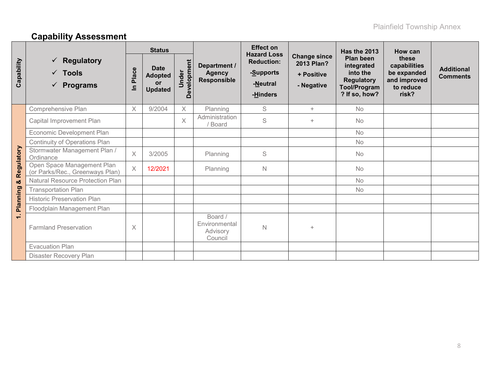# **Capability Assessment**

|                          |                                                                           | <b>Status</b> |                                                              |                      |                                                 | <b>Effect on</b>                                                                      |                                                               | Has the 2013                                                                                     | How can                                                                    |                                      |
|--------------------------|---------------------------------------------------------------------------|---------------|--------------------------------------------------------------|----------------------|-------------------------------------------------|---------------------------------------------------------------------------------------|---------------------------------------------------------------|--------------------------------------------------------------------------------------------------|----------------------------------------------------------------------------|--------------------------------------|
| Capability               | <b>Regulatory</b><br><b>Tools</b><br>$\checkmark$<br><b>Programs</b><br>✓ | Place<br>르    | <b>Date</b><br><b>Adopted</b><br><b>or</b><br><b>Updated</b> | Development<br>Under | Department /<br><b>Agency</b><br>Responsible    | <b>Hazard Loss</b><br><b>Reduction:</b><br>- <u>S</u> upports<br>-Neutral<br>-Hinders | <b>Change since</b><br>2013 Plan?<br>+ Positive<br>- Negative | Plan been<br>integrated<br>into the<br><b>Regulatory</b><br><b>Tool/Program</b><br>? If so, how? | these<br>capabilities<br>be expanded<br>and improved<br>to reduce<br>risk? | <b>Additional</b><br><b>Comments</b> |
|                          | Comprehensive Plan                                                        | $\times$      | 9/2004                                                       | $\times$             | Planning                                        | S                                                                                     | $+$                                                           | <b>No</b>                                                                                        |                                                                            |                                      |
|                          | Capital Improvement Plan                                                  |               |                                                              | $\times$             | Administration<br><b>Board</b>                  | S                                                                                     | $+$                                                           | <b>No</b>                                                                                        |                                                                            |                                      |
|                          | Economic Development Plan                                                 |               |                                                              |                      |                                                 |                                                                                       |                                                               | <b>No</b>                                                                                        |                                                                            |                                      |
|                          | Continuity of Operations Plan                                             |               |                                                              |                      |                                                 |                                                                                       |                                                               | No                                                                                               |                                                                            |                                      |
| Regulatory               | Stormwater Management Plan /<br>Ordinance                                 | $\times$      | 3/2005                                                       |                      | Planning                                        | $\mathsf S$                                                                           |                                                               | No                                                                                               |                                                                            |                                      |
|                          | Open Space Management Plan<br>(or Parks/Rec., Greenways Plan)             | $\times$      | 12/2021                                                      |                      | Planning                                        | $\mathsf{N}$                                                                          |                                                               | No                                                                                               |                                                                            |                                      |
| οð                       | Natural Resource Protection Plan                                          |               |                                                              |                      |                                                 |                                                                                       |                                                               | <b>No</b>                                                                                        |                                                                            |                                      |
|                          | <b>Transportation Plan</b>                                                |               |                                                              |                      |                                                 |                                                                                       |                                                               | <b>No</b>                                                                                        |                                                                            |                                      |
| Planning                 | <b>Historic Preservation Plan</b>                                         |               |                                                              |                      |                                                 |                                                                                       |                                                               |                                                                                                  |                                                                            |                                      |
|                          | Floodplain Management Plan                                                |               |                                                              |                      |                                                 |                                                                                       |                                                               |                                                                                                  |                                                                            |                                      |
| $\overline{\phantom{0}}$ | <b>Farmland Preservation</b>                                              | $\times$      |                                                              |                      | Board /<br>Environmental<br>Advisory<br>Council | $\mathsf N$                                                                           | $+$                                                           |                                                                                                  |                                                                            |                                      |
|                          | <b>Evacuation Plan</b>                                                    |               |                                                              |                      |                                                 |                                                                                       |                                                               |                                                                                                  |                                                                            |                                      |
|                          | Disaster Recovery Plan                                                    |               |                                                              |                      |                                                 |                                                                                       |                                                               |                                                                                                  |                                                                            |                                      |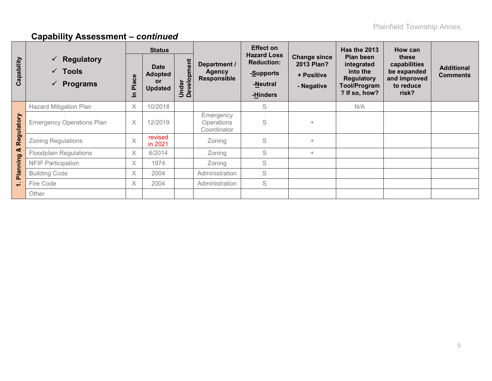|            |                                                                                | <b>Status</b> |                                                       |                      |                                                     | Effect on                                                                    |                                                               | <b>Has the 2013</b>                                                                       | How can                                                                    |                                      |
|------------|--------------------------------------------------------------------------------|---------------|-------------------------------------------------------|----------------------|-----------------------------------------------------|------------------------------------------------------------------------------|---------------------------------------------------------------|-------------------------------------------------------------------------------------------|----------------------------------------------------------------------------|--------------------------------------|
| Capability | $\checkmark$ Regulatory<br>$\sqrt{ }$ Tools<br><b>Programs</b><br>$\checkmark$ | Place<br>드    | <b>Date</b><br><b>Adopted</b><br>or<br><b>Updated</b> | Under<br>Development | Department /<br><b>Agency</b><br><b>Responsible</b> | <b>Hazard Loss</b><br><b>Reduction:</b><br>-Supports<br>-Neutral<br>-Hinders | <b>Change since</b><br>2013 Plan?<br>+ Positive<br>- Negative | Plan been<br>integrated<br>into the<br><b>Regulatory</b><br>Tool/Program<br>? If so, how? | these<br>capabilities<br>be expanded<br>and improved<br>to reduce<br>risk? | <b>Additional</b><br><b>Comments</b> |
|            | <b>Hazard Mitigation Plan</b>                                                  | X             | 10/2018                                               |                      |                                                     | S                                                                            |                                                               | N/A                                                                                       |                                                                            |                                      |
| Regulatory | <b>Emergency Operations Plan</b>                                               | $\times$      | 12/2019                                               |                      | Emergency<br><b>Operations</b><br>Coordinator       | S                                                                            | $+$                                                           |                                                                                           |                                                                            |                                      |
|            | <b>Zoning Regulations</b>                                                      | $\times$      | revised<br>in 2021                                    |                      | Zoning                                              | S                                                                            | $+$                                                           |                                                                                           |                                                                            |                                      |
| οð         | <b>Floodplain Regulations</b>                                                  | $\times$      | 6/2014                                                |                      | Zoning                                              | S                                                                            | $+$                                                           |                                                                                           |                                                                            |                                      |
|            | <b>NFIP Participation</b>                                                      | $\times$      | 1974                                                  |                      | Zoning                                              | S                                                                            |                                                               |                                                                                           |                                                                            |                                      |
| Planning   | <b>Building Code</b>                                                           | $\times$      | 2004                                                  |                      | Administration                                      | S                                                                            |                                                               |                                                                                           |                                                                            |                                      |
| $\div$     | Fire Code                                                                      | X             | 2004                                                  |                      | Administration                                      | S                                                                            |                                                               |                                                                                           |                                                                            |                                      |
|            | Other                                                                          |               |                                                       |                      |                                                     |                                                                              |                                                               |                                                                                           |                                                                            |                                      |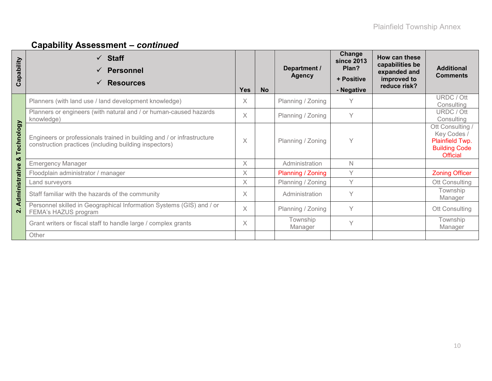| Capability     | $\checkmark$ Staff<br><b>Personnel</b><br><b>Resources</b>                                                                       | <b>Yes</b>        | <b>No</b> | Department /<br><b>Agency</b> | Change<br>since 2013<br>Plan?<br>+ Positive<br>- Negative | How can these<br>capabilities be<br>expanded and<br>improved to<br>reduce risk? | <b>Additional</b><br><b>Comments</b>                                                          |
|----------------|----------------------------------------------------------------------------------------------------------------------------------|-------------------|-----------|-------------------------------|-----------------------------------------------------------|---------------------------------------------------------------------------------|-----------------------------------------------------------------------------------------------|
|                | Planners (with land use / land development knowledge)                                                                            | X                 |           | Planning / Zoning             | Υ                                                         |                                                                                 | URDC / Ott<br>Consulting                                                                      |
|                | Planners or engineers (with natural and / or human-caused hazards<br>knowledge)                                                  |                   |           | Planning / Zoning             | Y                                                         |                                                                                 | URDC / Ott<br>Consulting                                                                      |
| Technology     | Engineers or professionals trained in building and / or infrastructure<br>construction practices (including building inspectors) | $\overline{\chi}$ |           | Planning / Zoning             | Υ                                                         |                                                                                 | Ott Consulting /<br>Key Codes /<br>Plainfield Twp.<br><b>Building Code</b><br><b>Official</b> |
| య              | <b>Emergency Manager</b>                                                                                                         | $\times$          |           | Administration                | N                                                         |                                                                                 |                                                                                               |
|                | Floodplain administrator / manager                                                                                               | X                 |           | Planning / Zoning             | Υ                                                         |                                                                                 | <b>Zoning Officer</b>                                                                         |
|                | Land surveyors                                                                                                                   | $\times$          |           | Planning / Zoning             | Υ                                                         |                                                                                 | Ott Consulting                                                                                |
| Administrative | Staff familiar with the hazards of the community                                                                                 | X                 |           | Administration                | Υ                                                         |                                                                                 | Township<br>Manager                                                                           |
| $\overline{N}$ | Personnel skilled in Geographical Information Systems (GIS) and / or<br>FEMA's HAZUS program                                     |                   |           | Planning / Zoning             | Υ                                                         |                                                                                 | Ott Consulting                                                                                |
|                | Grant writers or fiscal staff to handle large / complex grants                                                                   | X                 |           | Township<br>Manager           | Υ                                                         |                                                                                 | Township<br>Manager                                                                           |
|                | Other                                                                                                                            |                   |           |                               |                                                           |                                                                                 |                                                                                               |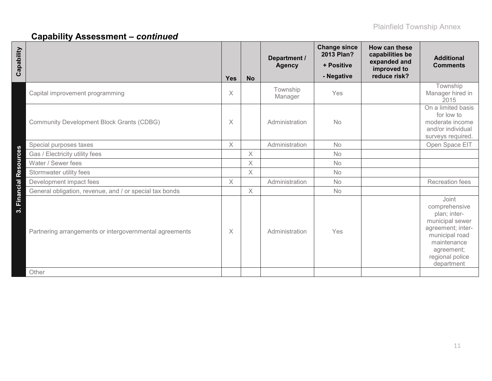| Capability                                                                        | <b>Yes</b> | <b>No</b> | Department /<br><b>Agency</b> | <b>Change since</b><br>2013 Plan?<br>+ Positive<br>- Negative | How can these<br>capabilities be<br>expanded and<br>improved to<br>reduce risk? | <b>Additional</b><br><b>Comments</b>                                                                                                                           |
|-----------------------------------------------------------------------------------|------------|-----------|-------------------------------|---------------------------------------------------------------|---------------------------------------------------------------------------------|----------------------------------------------------------------------------------------------------------------------------------------------------------------|
| Capital improvement programming                                                   | X          |           | Township<br>Manager           | Yes                                                           |                                                                                 | Township<br>Manager hired in<br>2015                                                                                                                           |
| <b>Community Development Block Grants (CDBG)</b>                                  | $\times$   |           | Administration                | <b>No</b>                                                     |                                                                                 | On a limited basis<br>for low to<br>moderate income<br>and/or individual<br>surveys required.                                                                  |
| Special purposes taxes                                                            | $\times$   |           | Administration                | No                                                            |                                                                                 | Open Space EIT                                                                                                                                                 |
| Gas / Electricity utility fees                                                    |            | $\times$  |                               | No                                                            |                                                                                 |                                                                                                                                                                |
| Water / Sewer fees                                                                |            | $\times$  |                               | <b>No</b>                                                     |                                                                                 |                                                                                                                                                                |
| Stormwater utility fees                                                           |            | X         |                               | <b>No</b>                                                     |                                                                                 |                                                                                                                                                                |
| Development impact fees                                                           | $\times$   |           | Administration                | No                                                            |                                                                                 | <b>Recreation fees</b>                                                                                                                                         |
| General obligation, revenue, and / or special tax bonds                           |            | $\times$  |                               | <b>No</b>                                                     |                                                                                 |                                                                                                                                                                |
| 3. Financial Resources<br>Partnering arrangements or intergovernmental agreements | X          |           | Administration                | Yes                                                           |                                                                                 | Joint<br>comprehensive<br>plan; inter-<br>municipal sewer<br>agreement; inter-<br>municipal road<br>maintenance<br>agreement;<br>regional police<br>department |
| Other                                                                             |            |           |                               |                                                               |                                                                                 |                                                                                                                                                                |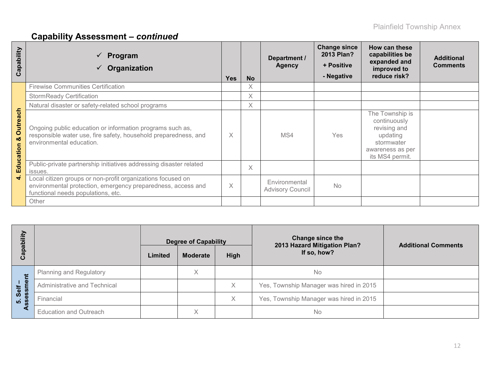| apability<br>ပ        | Program<br>Organization                                                                                                                                           | <b>Yes</b> | <b>No</b> | Department /<br><b>Agency</b>            | <b>Change since</b><br>2013 Plan?<br>+ Positive<br>- Negative | How can these<br>capabilities be<br>expanded and<br>improved to<br>reduce risk?                                  | <b>Additional</b><br><b>Comments</b> |
|-----------------------|-------------------------------------------------------------------------------------------------------------------------------------------------------------------|------------|-----------|------------------------------------------|---------------------------------------------------------------|------------------------------------------------------------------------------------------------------------------|--------------------------------------|
|                       | <b>Firewise Communities Certification</b>                                                                                                                         |            | $\times$  |                                          |                                                               |                                                                                                                  |                                      |
|                       | <b>StormReady Certification</b>                                                                                                                                   |            | $\times$  |                                          |                                                               |                                                                                                                  |                                      |
|                       | Natural disaster or safety-related school programs                                                                                                                |            | $\times$  |                                          |                                                               |                                                                                                                  |                                      |
| <b>Outreach</b><br>οö | Ongoing public education or information programs such as,<br>responsible water use, fire safety, household preparedness, and<br>environmental education.          | X          |           | MS4                                      | <b>Yes</b>                                                    | The Township is<br>continuously<br>revising and<br>updating<br>stormwater<br>awareness as per<br>its MS4 permit. |                                      |
| Educatio              | Public-private partnership initiatives addressing disaster related<br>issues.                                                                                     |            | X         |                                          |                                                               |                                                                                                                  |                                      |
| ਚੰ                    | Local citizen groups or non-profit organizations focused on<br>environmental protection, emergency preparedness, access and<br>functional needs populations, etc. | $\times$   |           | Environmental<br><b>Advisory Council</b> | <b>No</b>                                                     |                                                                                                                  |                                      |
|                       | Other                                                                                                                                                             |            |           |                                          |                                                               |                                                                                                                  |                                      |

| ξÎ                        |                                | <b>Degree of Capability</b> |                 |      | Change since the<br>2013 Hazard Mitigation Plan? | <b>Additional Comments</b> |
|---------------------------|--------------------------------|-----------------------------|-----------------|------|--------------------------------------------------|----------------------------|
| Capabi                    |                                | Limited                     | <b>Moderate</b> | High | If so, how?                                      |                            |
| Ë                         | <b>Planning and Regulatory</b> |                             | Χ               |      | No                                               |                            |
| $\bullet$<br>Self         | Administrative and Technical   |                             |                 | X    | Yes, Township Manager was hired in 2015          |                            |
| ŝS<br>ω<br>$\overline{5}$ | Financial                      |                             |                 | Χ    | Yes, Township Manager was hired in 2015          |                            |
|                           | <b>Education and Outreach</b>  |                             | Χ               |      | No                                               |                            |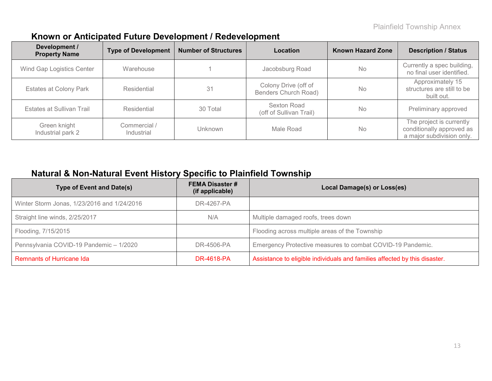### **Known or Anticipated Future Development / Redevelopment**

| Development /<br><b>Property Name</b> | <b>Type of Development</b> | <b>Number of Structures</b> | Location                                     | <b>Known Hazard Zone</b> | <b>Description / Status</b>                                                        |
|---------------------------------------|----------------------------|-----------------------------|----------------------------------------------|--------------------------|------------------------------------------------------------------------------------|
| Wind Gap Logistics Center             | Warehouse                  |                             | Jacobsburg Road                              | <b>No</b>                | Currently a spec building,<br>no final user identified.                            |
| <b>Estates at Colony Park</b>         | Residential                | 31                          | Colony Drive (off of<br>Benders Church Road) | <b>No</b>                | Approximately 15<br>structures are still to be<br>built out.                       |
| Estates at Sullivan Trail             | Residential                | 30 Total                    | Sexton Road<br>(off of Sullivan Trail)       | <b>No</b>                | Preliminary approved                                                               |
| Green knight<br>Industrial park 2     | Commercial /<br>Industrial | Unknown                     | Male Road                                    | <b>No</b>                | The project is currently<br>conditionally approved as<br>a major subdivision only. |

### **Natural & Non-Natural Event History Specific to Plainfield Township**

| <b>Type of Event and Date(s)</b>            | <b>FEMA Disaster #</b><br>(if applicable) | Local Damage(s) or Loss(es)                                                |
|---------------------------------------------|-------------------------------------------|----------------------------------------------------------------------------|
| Winter Storm Jonas, 1/23/2016 and 1/24/2016 | DR-4267-PA                                |                                                                            |
| Straight line winds, 2/25/2017              | N/A                                       | Multiple damaged roofs, trees down                                         |
| Flooding, 7/15/2015                         |                                           | Flooding across multiple areas of the Township                             |
| Pennsylvania COVID-19 Pandemic - 1/2020     | DR-4506-PA                                | Emergency Protective measures to combat COVID-19 Pandemic.                 |
| Remnants of Hurricane Ida                   | <b>DR-4618-PA</b>                         | Assistance to eligible individuals and families affected by this disaster. |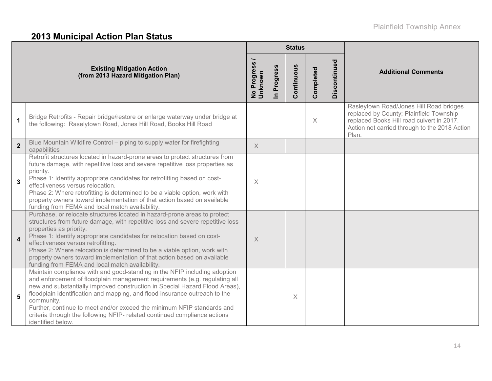### **2013 Municipal Action Plan Status**

|                |                                                                                                                                                                                                                                                                                                                                                                                                                                                                                                                  |                        |                            | <b>Status</b> |           |              |                                                                                                                                                                                           |
|----------------|------------------------------------------------------------------------------------------------------------------------------------------------------------------------------------------------------------------------------------------------------------------------------------------------------------------------------------------------------------------------------------------------------------------------------------------------------------------------------------------------------------------|------------------------|----------------------------|---------------|-----------|--------------|-------------------------------------------------------------------------------------------------------------------------------------------------------------------------------------------|
|                | <b>Existing Mitigation Action</b><br>(from 2013 Hazard Mitigation Plan)                                                                                                                                                                                                                                                                                                                                                                                                                                          | No Progress<br>Unknown | Progress<br>$\blacksquare$ | Continuous    | Completed | Discontinued | <b>Additional Comments</b>                                                                                                                                                                |
| $\mathbf{1}$   | Bridge Retrofits - Repair bridge/restore or enlarge waterway under bridge at<br>the following: Raselytown Road, Jones Hill Road, Books Hill Road                                                                                                                                                                                                                                                                                                                                                                 |                        |                            |               | $\times$  |              | Rasleytown Road/Jones Hill Road bridges<br>replaced by County; Plainfield Township<br>replaced Books Hill road culvert in 2017.<br>Action not carried through to the 2018 Action<br>Plan. |
| $\overline{2}$ | Blue Mountain Wildfire Control – piping to supply water for firefighting<br>capabilities                                                                                                                                                                                                                                                                                                                                                                                                                         | $\times$               |                            |               |           |              |                                                                                                                                                                                           |
| 3              | Retrofit structures located in hazard-prone areas to protect structures from<br>future damage, with repetitive loss and severe repetitive loss properties as<br>priority.<br>Phase 1: Identify appropriate candidates for retrofitting based on cost-<br>effectiveness versus relocation.<br>Phase 2: Where retrofitting is determined to be a viable option, work with<br>property owners toward implementation of that action based on available<br>funding from FEMA and local match availability.            | $\times$               |                            |               |           |              |                                                                                                                                                                                           |
| 4              | Purchase, or relocate structures located in hazard-prone areas to protect<br>structures from future damage, with repetitive loss and severe repetitive loss<br>properties as priority.<br>Phase 1: Identify appropriate candidates for relocation based on cost-<br>effectiveness versus retrofitting.<br>Phase 2: Where relocation is determined to be a viable option, work with<br>property owners toward implementation of that action based on available<br>funding from FEMA and local match availability. | $\times$               |                            |               |           |              |                                                                                                                                                                                           |
| 5              | Maintain compliance with and good-standing in the NFIP including adoption<br>and enforcement of floodplain management requirements (e.g. regulating all<br>new and substantially improved construction in Special Hazard Flood Areas),<br>floodplain identification and mapping, and flood insurance outreach to the<br>community.<br>Further, continue to meet and/or exceed the minimum NFIP standards and<br>criteria through the following NFIP- related continued compliance actions<br>identified below.   |                        |                            | $\times$      |           |              |                                                                                                                                                                                           |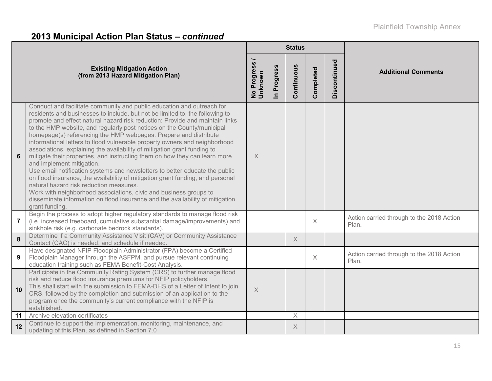# **2013 Municipal Action Plan Status –** *continued*

|                |                                                                                                                                                                                                                                                                                                                                                                                                                                                                                                                                                                                                                                                                                                                                                                                                                                                                                                                                                                                                                                               |                                  |                          | <b>Status</b> |           |              |                                                    |
|----------------|-----------------------------------------------------------------------------------------------------------------------------------------------------------------------------------------------------------------------------------------------------------------------------------------------------------------------------------------------------------------------------------------------------------------------------------------------------------------------------------------------------------------------------------------------------------------------------------------------------------------------------------------------------------------------------------------------------------------------------------------------------------------------------------------------------------------------------------------------------------------------------------------------------------------------------------------------------------------------------------------------------------------------------------------------|----------------------------------|--------------------------|---------------|-----------|--------------|----------------------------------------------------|
|                | <b>Existing Mitigation Action</b><br>(from 2013 Hazard Mitigation Plan)                                                                                                                                                                                                                                                                                                                                                                                                                                                                                                                                                                                                                                                                                                                                                                                                                                                                                                                                                                       | Progress<br>No Progre<br>Unknown | Progress<br>$\mathbf{r}$ | Continuous    | Completed | Discontinued | <b>Additional Comments</b>                         |
| 6              | Conduct and facilitate community and public education and outreach for<br>residents and businesses to include, but not be limited to, the following to<br>promote and effect natural hazard risk reduction: Provide and maintain links<br>to the HMP website, and regularly post notices on the County/municipal<br>homepage(s) referencing the HMP webpages. Prepare and distribute<br>informational letters to flood vulnerable property owners and neighborhood<br>associations, explaining the availability of mitigation grant funding to<br>mitigate their properties, and instructing them on how they can learn more<br>and implement mitigation.<br>Use email notification systems and newsletters to better educate the public<br>on flood insurance, the availability of mitigation grant funding, and personal<br>natural hazard risk reduction measures.<br>Work with neighborhood associations, civic and business groups to<br>disseminate information on flood insurance and the availability of mitigation<br>grant funding. | X                                |                          |               |           |              |                                                    |
| $\overline{7}$ | Begin the process to adopt higher regulatory standards to manage flood risk<br>(i.e. increased freeboard, cumulative substantial damage/improvements) and<br>sinkhole risk (e.g. carbonate bedrock standards).                                                                                                                                                                                                                                                                                                                                                                                                                                                                                                                                                                                                                                                                                                                                                                                                                                |                                  |                          |               | $\times$  |              | Action carried through to the 2018 Action<br>Plan. |
| 8              | Determine if a Community Assistance Visit (CAV) or Community Assistance<br>Contact (CAC) is needed, and schedule if needed.                                                                                                                                                                                                                                                                                                                                                                                                                                                                                                                                                                                                                                                                                                                                                                                                                                                                                                                   |                                  |                          | $\times$      |           |              |                                                    |
| 9              | Have designated NFIP Floodplain Administrator (FPA) become a Certified<br>Floodplain Manager through the ASFPM, and pursue relevant continuing<br>education training such as FEMA Benefit-Cost Analysis.                                                                                                                                                                                                                                                                                                                                                                                                                                                                                                                                                                                                                                                                                                                                                                                                                                      |                                  |                          |               | $\times$  |              | Action carried through to the 2018 Action<br>Plan. |
| 10             | Participate in the Community Rating System (CRS) to further manage flood<br>risk and reduce flood insurance premiums for NFIP policyholders.<br>This shall start with the submission to FEMA-DHS of a Letter of Intent to join<br>CRS, followed by the completion and submission of an application to the<br>program once the community's current compliance with the NFIP is<br>established.                                                                                                                                                                                                                                                                                                                                                                                                                                                                                                                                                                                                                                                 | $\times$                         |                          |               |           |              |                                                    |
| 11             | Archive elevation certificates                                                                                                                                                                                                                                                                                                                                                                                                                                                                                                                                                                                                                                                                                                                                                                                                                                                                                                                                                                                                                |                                  |                          | X             |           |              |                                                    |
| 12             | Continue to support the implementation, monitoring, maintenance, and<br>updating of this Plan, as defined in Section 7.0                                                                                                                                                                                                                                                                                                                                                                                                                                                                                                                                                                                                                                                                                                                                                                                                                                                                                                                      |                                  |                          | X             |           |              |                                                    |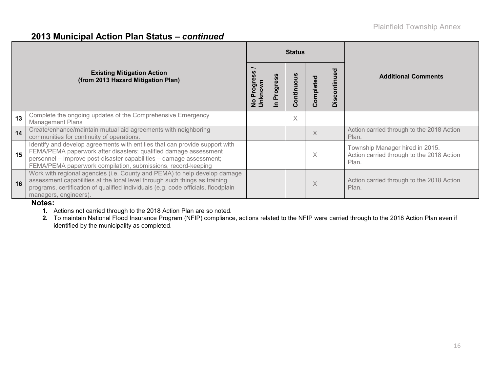#### **2013 Municipal Action Plan Status –** *continued*

|    |                                                                                                                                                                                                                                                                                        |                                                              |              | <b>Status</b> |           |                       |                                                                                       |  |
|----|----------------------------------------------------------------------------------------------------------------------------------------------------------------------------------------------------------------------------------------------------------------------------------------|--------------------------------------------------------------|--------------|---------------|-----------|-----------------------|---------------------------------------------------------------------------------------|--|
|    | <b>Existing Mitigation Action</b><br>(from 2013 Hazard Mitigation Plan)                                                                                                                                                                                                                | <b>Progress</b><br>nknown<br>$\frac{\mathsf{o}}{\mathsf{z}}$ | ğθ<br>Progre | ontinuous     | Completed | ਠ<br>ِّف<br>Discontin | <b>Additional Comments</b>                                                            |  |
| 13 | Complete the ongoing updates of the Comprehensive Emergency<br><b>Management Plans</b>                                                                                                                                                                                                 |                                                              |              | X             |           |                       |                                                                                       |  |
| 14 | Create/enhance/maintain mutual aid agreements with neighboring<br>communities for continuity of operations.                                                                                                                                                                            |                                                              |              |               | $\times$  |                       | Action carried through to the 2018 Action<br>Plan.                                    |  |
| 15 | Identify and develop agreements with entities that can provide support with<br>FEMA/PEMA paperwork after disasters; qualified damage assessment<br>personnel - Improve post-disaster capabilities - damage assessment;<br>FEMA/PEMA paperwork compilation, submissions, record-keeping |                                                              |              |               | X         |                       | Township Manager hired in 2015.<br>Action carried through to the 2018 Action<br>Plan. |  |
| 16 | Work with regional agencies (i.e. County and PEMA) to help develop damage<br>assessment capabilities at the local level through such things as training<br>programs, certification of qualified individuals (e.g. code officials, floodplain<br>managers, engineers).                  |                                                              |              |               | X         |                       | Action carried through to the 2018 Action<br>Plan.                                    |  |

#### **Notes:**

**1.** Actions not carried through to the 2018 Action Plan are so noted.

2. To maintain National Flood Insurance Program (NFIP) compliance, actions related to the NFIP were carried through to the 2018 Action Plan even if identified by the municipality as completed.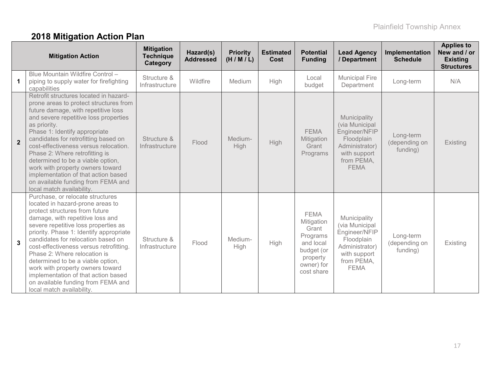# **2018 Mitigation Action Plan**

|                | <b>Mitigation Action</b>                                                                                                                                                                                                                                                                                                                                                                                                                                                                                                          | <b>Mitigation</b><br><b>Technique</b><br>Category | Hazard(s)<br><b>Addressed</b> | <b>Priority</b><br>(H/M/L) | <b>Estimated</b><br><b>Cost</b> | <b>Potential</b><br><b>Funding</b>                                                                                | <b>Lead Agency</b><br>/ Department                                                                                           | Implementation<br><b>Schedule</b>      | <b>Applies to</b><br>New and / or<br><b>Existing</b><br><b>Structures</b> |
|----------------|-----------------------------------------------------------------------------------------------------------------------------------------------------------------------------------------------------------------------------------------------------------------------------------------------------------------------------------------------------------------------------------------------------------------------------------------------------------------------------------------------------------------------------------|---------------------------------------------------|-------------------------------|----------------------------|---------------------------------|-------------------------------------------------------------------------------------------------------------------|------------------------------------------------------------------------------------------------------------------------------|----------------------------------------|---------------------------------------------------------------------------|
| $\mathbf{1}$   | Blue Mountain Wildfire Control -<br>piping to supply water for firefighting<br>capabilities                                                                                                                                                                                                                                                                                                                                                                                                                                       | Structure &<br>Infrastructure                     | Wildfire                      | Medium                     | High                            | Local<br>budget                                                                                                   | <b>Municipal Fire</b><br>Department                                                                                          | Long-term                              | N/A                                                                       |
| $\overline{2}$ | Retrofit structures located in hazard-<br>prone areas to protect structures from<br>future damage, with repetitive loss<br>and severe repetitive loss properties<br>as priority.<br>Phase 1: Identify appropriate<br>candidates for retrofitting based on<br>cost-effectiveness versus relocation.<br>Phase 2: Where retrofitting is<br>determined to be a viable option,<br>work with property owners toward<br>implementation of that action based<br>on available funding from FEMA and<br>local match availability.           | Structure &<br>Infrastructure                     | Flood                         | Medium-<br>High            | High                            | <b>FEMA</b><br>Mitigation<br>Grant<br>Programs                                                                    | Municipality<br>(via Municipal<br>Engineer/NFIP<br>Floodplain<br>Administrator)<br>with support<br>from PEMA,<br><b>FEMA</b> | Long-term<br>(depending on<br>funding) | Existing                                                                  |
| $\overline{3}$ | Purchase, or relocate structures<br>located in hazard-prone areas to<br>protect structures from future<br>damage, with repetitive loss and<br>severe repetitive loss properties as<br>priority. Phase 1: Identify appropriate<br>candidates for relocation based on<br>cost-effectiveness versus retrofitting.<br>Phase 2: Where relocation is<br>determined to be a viable option,<br>work with property owners toward<br>implementation of that action based<br>on available funding from FEMA and<br>local match availability. | Structure &<br>Infrastructure                     | Flood                         | Medium-<br>High            | High                            | <b>FEMA</b><br>Mitigation<br>Grant<br>Programs<br>and local<br>budget (or<br>property<br>owner) for<br>cost share | Municipality<br>(via Municipal<br>Engineer/NFIP<br>Floodplain<br>Administrator)<br>with support<br>from PEMA,<br><b>FEMA</b> | Long-term<br>(depending on<br>funding) | Existing                                                                  |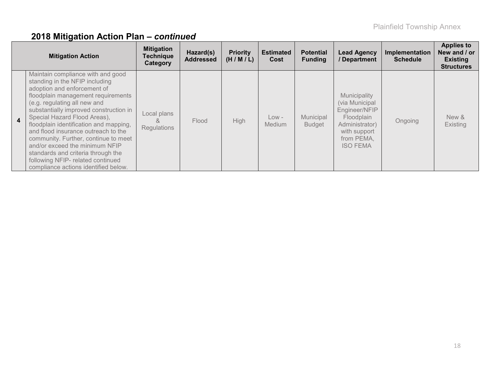|                  | <b>Mitigation Action</b>                                                                                                                                                                                                                                                                                                                                                                                                                                                                                                         | <b>Mitigation</b><br><b>Technique</b><br>Category | Hazard(s)<br><b>Addressed</b> | <b>Priority</b><br>(H/M/L) | <b>Estimated</b><br>Cost | <b>Potential</b><br><b>Funding</b> | <b>Lead Agency</b><br>/ Department                                                                                               | Implementation<br><b>Schedule</b> | <b>Applies to</b><br>New and / or<br><b>Existing</b><br><b>Structures</b> |
|------------------|----------------------------------------------------------------------------------------------------------------------------------------------------------------------------------------------------------------------------------------------------------------------------------------------------------------------------------------------------------------------------------------------------------------------------------------------------------------------------------------------------------------------------------|---------------------------------------------------|-------------------------------|----------------------------|--------------------------|------------------------------------|----------------------------------------------------------------------------------------------------------------------------------|-----------------------------------|---------------------------------------------------------------------------|
| $\blacktriangle$ | Maintain compliance with and good<br>standing in the NFIP including<br>adoption and enforcement of<br>floodplain management requirements<br>(e.g. regulating all new and<br>substantially improved construction in<br>Special Hazard Flood Areas),<br>floodplain identification and mapping,<br>and flood insurance outreach to the<br>community. Further, continue to meet<br>and/or exceed the minimum NFIP<br>standards and criteria through the<br>following NFIP- related continued<br>compliance actions identified below. | Local plans<br><b>Regulations</b>                 | Flood                         | <b>High</b>                | $Low -$<br>Medium        | Municipal<br><b>Budget</b>         | Municipality<br>(via Municipal<br>Engineer/NFIP<br>Floodplain<br>Administrator)<br>with support<br>from PEMA,<br><b>ISO FEMA</b> | Ongoing                           | New &<br><b>Existing</b>                                                  |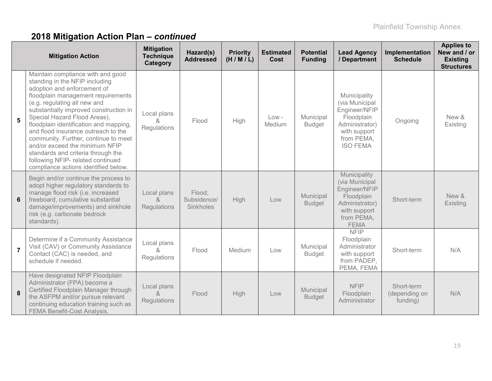|                | <b>Mitigation Action</b>                                                                                                                                                                                                                                                                                                                                                                                                                                                                                                         | <b>Mitigation</b><br><b>Technique</b><br>Category | Hazard(s)<br><b>Addressed</b>      | <b>Priority</b><br>(H/M/L) | <b>Estimated</b><br>Cost | <b>Potential</b><br><b>Funding</b> | <b>Lead Agency</b><br>/ Department                                                                                               | Implementation<br><b>Schedule</b>       | <b>Applies to</b><br>New and / or<br><b>Existing</b><br><b>Structures</b> |
|----------------|----------------------------------------------------------------------------------------------------------------------------------------------------------------------------------------------------------------------------------------------------------------------------------------------------------------------------------------------------------------------------------------------------------------------------------------------------------------------------------------------------------------------------------|---------------------------------------------------|------------------------------------|----------------------------|--------------------------|------------------------------------|----------------------------------------------------------------------------------------------------------------------------------|-----------------------------------------|---------------------------------------------------------------------------|
| 5              | Maintain compliance with and good<br>standing in the NFIP including<br>adoption and enforcement of<br>floodplain management requirements<br>(e.g. regulating all new and<br>substantially improved construction in<br>Special Hazard Flood Areas),<br>floodplain identification and mapping,<br>and flood insurance outreach to the<br>community. Further, continue to meet<br>and/or exceed the minimum NFIP<br>standards and criteria through the<br>following NFIP- related continued<br>compliance actions identified below. | Local plans<br>ጼ<br>Regulations                   | Flood                              | High                       | $Low -$<br>Medium        | Municipal<br><b>Budget</b>         | Municipality<br>(via Municipal<br>Engineer/NFIP<br>Floodplain<br>Administrator)<br>with support<br>from PEMA,<br><b>ISO FEMA</b> | Ongoing                                 | New &<br>Existing                                                         |
| 6              | Begin and/or continue the process to<br>adopt higher regulatory standards to<br>manage flood risk (i.e. increased<br>freeboard, cumulative substantial<br>damage/improvements) and sinkhole<br>risk (e.g. carbonate bedrock<br>standards).                                                                                                                                                                                                                                                                                       | Local plans<br>$\kappa$<br>Regulations            | Flood;<br>Subsidence/<br>Sinkholes | High                       | Low                      | Municipal<br><b>Budget</b>         | Municipality<br>(via Municipal<br>Engineer/NFIP<br>Floodplain<br>Administrator)<br>with support<br>from PEMA,<br><b>FEMA</b>     | Short-term                              | New &<br>Existing                                                         |
| $\overline{7}$ | Determine if a Community Assistance<br>Visit (CAV) or Community Assistance<br>Contact (CAC) is needed, and<br>schedule if needed.                                                                                                                                                                                                                                                                                                                                                                                                | Local plans<br>ጼ<br>Regulations                   | Flood                              | Medium                     | Low                      | Municipal<br><b>Budget</b>         | <b>NFIP</b><br>Floodplain<br>Administrator<br>with support<br>from PADEP,<br>PEMA, FEMA                                          | Short-term                              | N/A                                                                       |
| 8              | Have designated NFIP Floodplain<br>Administrator (FPA) become a<br>Certified Floodplain Manager through<br>the ASFPM and/or pursue relevant<br>continuing education training such as<br><b>FEMA Benefit-Cost Analysis.</b>                                                                                                                                                                                                                                                                                                       | Local plans<br>$\lambda$<br>Regulations           | Flood                              | High                       | Low                      | Municipal<br><b>Budget</b>         | <b>NFIP</b><br>Floodplain<br>Administrator                                                                                       | Short-term<br>(depending on<br>funding) | N/A                                                                       |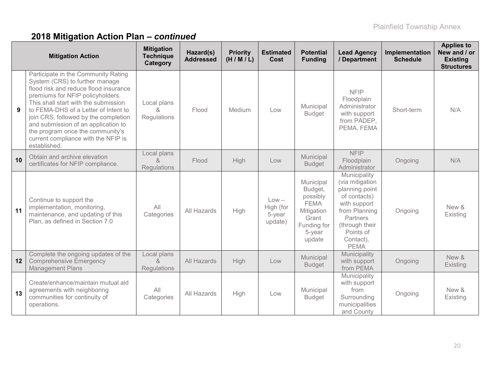|    | <b>Mitigation Action</b>                                                                                                                                                                                                                                                                                                                                                                                     | <b>Mitigation</b><br><b>Technique</b><br>Category | Hazard(s)<br><b>Addressed</b> | <b>Priority</b><br>(H/M/L) | <b>Estimated</b><br><b>Cost</b>           | <b>Potential</b><br><b>Funding</b>                                                                        | <b>Lead Agency</b><br>/ Department                                                                                                                                        | Implementation<br><b>Schedule</b> | <b>Applies to</b><br>New and / or<br><b>Existing</b><br><b>Structures</b> |
|----|--------------------------------------------------------------------------------------------------------------------------------------------------------------------------------------------------------------------------------------------------------------------------------------------------------------------------------------------------------------------------------------------------------------|---------------------------------------------------|-------------------------------|----------------------------|-------------------------------------------|-----------------------------------------------------------------------------------------------------------|---------------------------------------------------------------------------------------------------------------------------------------------------------------------------|-----------------------------------|---------------------------------------------------------------------------|
| 9  | Participate in the Community Rating<br>System (CRS) to further manage<br>flood risk and reduce flood insurance<br>premiums for NFIP policyholders.<br>This shall start with the submission<br>to FEMA-DHS of a Letter of Intent to<br>join CRS, followed by the completion<br>and submission of an application to<br>the program once the community's<br>current compliance with the NFIP is<br>established. | Local plans<br>&<br>Regulations                   | Flood                         | Medium                     | Low                                       | Municipal<br><b>Budget</b>                                                                                | <b>NFIP</b><br>Floodplain<br>Administrator<br>with support<br>from PADEP,<br>PEMA, FEMA                                                                                   | Short-term                        | N/A                                                                       |
| 10 | Obtain and archive elevation<br>certificates for NFIP compliance.                                                                                                                                                                                                                                                                                                                                            | Local plans<br>&<br><b>Regulations</b>            | Flood                         | High                       | Low                                       | Municipal<br><b>Budget</b>                                                                                | <b>NFIP</b><br>Floodplain<br>Administrator                                                                                                                                | Ongoing                           | N/A                                                                       |
| 11 | Continue to support the<br>implementation, monitoring,<br>maintenance, and updating of this<br>Plan, as defined in Section 7.0                                                                                                                                                                                                                                                                               | All<br>Categories                                 | All Hazards                   | High                       | $Low -$<br>High (for<br>5-year<br>update) | Municipal<br>Budget,<br>possibly<br><b>FEMA</b><br>Mitigation<br>Grant<br>Funding for<br>5-year<br>update | Municipality<br>(via mitigation<br>planning point<br>of contacts)<br>with support<br>from Planning<br>Partners<br>(through their<br>Points of<br>Contact),<br><b>PEMA</b> | Ongoing                           | New &<br>Existing                                                         |
| 12 | Complete the ongoing updates of the<br><b>Comprehensive Emergency</b><br><b>Management Plans</b>                                                                                                                                                                                                                                                                                                             | Local plans<br>8<br>Regulations                   | All Hazards                   | High                       | Low                                       | Municipal<br><b>Budget</b>                                                                                | Municipality<br>with support<br>from PEMA                                                                                                                                 | Ongoing                           | New &<br>Existing                                                         |
| 13 | Create/enhance/maintain mutual aid<br>agreements with neighboring<br>communities for continuity of<br>operations.                                                                                                                                                                                                                                                                                            | All<br>Categories                                 | All Hazards                   | High                       | Low                                       | Municipal<br><b>Budget</b>                                                                                | Municipality<br>with support<br>from<br>Surrounding<br>municipalities<br>and County                                                                                       | Ongoing                           | New &<br>Existing                                                         |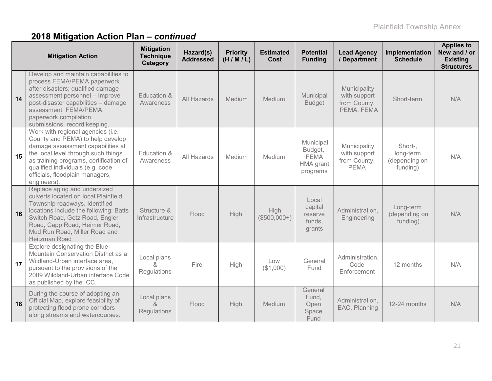|    | <b>Mitigation Action</b>                                                                                                                                                                                                                                                          | <b>Mitigation</b><br><b>Technique</b><br>Category | Hazard(s)<br><b>Addressed</b> | <b>Priority</b><br>(H/M/L) | <b>Estimated</b><br>Cost | <b>Potential</b><br><b>Funding</b>                                  | <b>Lead Agency</b><br>/ Department                          | Implementation<br><b>Schedule</b>                 | <b>Applies to</b><br>New and / or<br><b>Existing</b><br><b>Structures</b> |
|----|-----------------------------------------------------------------------------------------------------------------------------------------------------------------------------------------------------------------------------------------------------------------------------------|---------------------------------------------------|-------------------------------|----------------------------|--------------------------|---------------------------------------------------------------------|-------------------------------------------------------------|---------------------------------------------------|---------------------------------------------------------------------------|
| 14 | Develop and maintain capabilities to<br>process FEMA/PEMA paperwork<br>after disasters; qualified damage<br>assessment personnel - Improve<br>post-disaster capabilities - damage<br>assessment; FEMA/PEMA<br>paperwork compilation,<br>submissions, record keeping.              | Education &<br>Awareness                          | All Hazards                   | Medium                     | Medium                   | Municipal<br><b>Budget</b>                                          | Municipality<br>with support<br>from County,<br>PEMA, FEMA  | Short-term                                        | N/A                                                                       |
| 15 | Work with regional agencies (i.e.<br>County and PEMA) to help develop<br>damage assessment capabilities at<br>the local level through such things<br>as training programs, certification of<br>qualified individuals (e.g. code<br>officials, floodplain managers,<br>engineers). | Education &<br>Awareness                          | All Hazards                   | Medium                     | Medium                   | Municipal<br>Budget,<br><b>FEMA</b><br><b>HMA</b> grant<br>programs | Municipality<br>with support<br>from County,<br><b>PEMA</b> | Short-,<br>long-term<br>(depending on<br>funding) | N/A                                                                       |
| 16 | Replace aging and undersized<br>culverts located on local Plainfield<br>Township roadways. Identified<br>locations include the following: Batts<br>Switch Road, Getz Road, Engler<br>Road, Capp Road, Heimer Road,<br>Mud Run Road, Miller Road and<br>Heitzman Road              | Structure &<br>Infrastructure                     | Flood                         | High                       | High<br>$($500,000+)$    | Local<br>capital<br>reserve<br>funds,<br>grants                     | Administration,<br>Engineering                              | Long-term<br>(depending on<br>funding)            | N/A                                                                       |
| 17 | Explore designating the Blue<br>Mountain Conservation District as a<br>Wildland-Urban interface area,<br>pursuant to the provisions of the<br>2009 Wildland-Urban interface Code<br>as published by the ICC.                                                                      | Local plans<br>Regulations                        | Fire                          | High                       | Low<br>(\$1,000)         | General<br>Fund                                                     | Administration,<br>Code<br>Enforcement                      | 12 months                                         | N/A                                                                       |
| 18 | During the course of adopting an<br>Official Map, explore feasibility of<br>protecting flood prone corridors<br>along streams and watercourses.                                                                                                                                   | Local plans<br>$\alpha$<br><b>Regulations</b>     | Flood                         | High                       | Medium                   | General<br>Fund,<br>Open<br>Space<br>Fund                           | Administration,<br>EAC, Planning                            | 12-24 months                                      | N/A                                                                       |